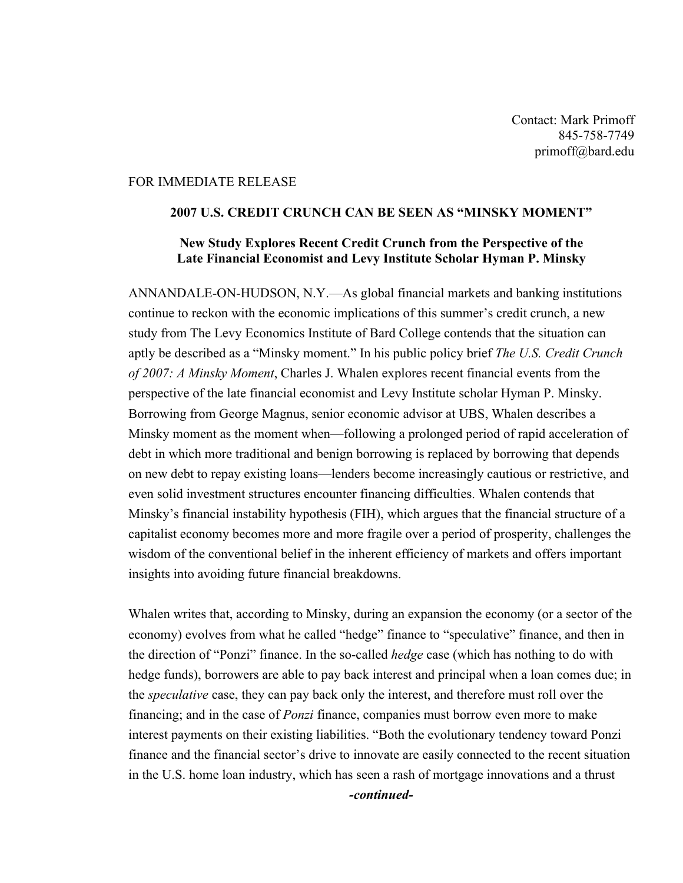Contact: Mark Primoff 845-758-7749 primoff@bard.edu

## FOR IMMEDIATE RELEASE

## 2007 U.S. CREDIT CRUNCH CAN BE SEEN AS "MINSKY MOMENT"

## New Study Explores Recent Credit Crunch from the Perspective of the Late Financial Economist and Levy Institute Scholar Hyman P. Minsky

ANNANDALE-ON-HUDSON, N.Y.—As global financial markets and banking institutions continue to reckon with the economic implications of this summer's credit crunch, a new study from The Levy Economics Institute of Bard College contends that the situation can aptly be described as a "Minsky moment." In his public policy brief *The U.S. Credit Crunch of 2007: A Minsky Moment*, Charles J. Whalen explores recent financial events from the perspective of the late financial economist and Levy Institute scholar Hyman P. Minsky. Borrowing from George Magnus, senior economic advisor at UBS, Whalen describes a Minsky moment as the moment when—following a prolonged period of rapid acceleration of debt in which more traditional and benign borrowing is replaced by borrowing that depends on new debt to repay existing loans—lenders become increasingly cautious or restrictive, and even solid investment structures encounter financing difficulties. Whalen contends that Minsky's financial instability hypothesis (FIH), which argues that the financial structure of a capitalist economy becomes more and more fragile over a period of prosperity, challenges the wisdom of the conventional belief in the inherent efficiency of markets and offers important insights into avoiding future financial breakdowns.

Whalen writes that, according to Minsky, during an expansion the economy (or a sector of the economy) evolves from what he called "hedge" finance to "speculative" finance, and then in the direction of "Ponzi" finance. In the so-called *hedge* case (which has nothing to do with hedge funds), borrowers are able to pay back interest and principal when a loan comes due; in the *speculative* case, they can pay back only the interest, and therefore must roll over the financing; and in the case of *Ponzi* finance, companies must borrow even more to make interest payments on their existing liabilities. "Both the evolutionary tendency toward Ponzi finance and the financial sector's drive to innovate are easily connected to the recent situation in the U.S. home loan industry, which has seen a rash of mortgage innovations and a thrust

*-continued-*